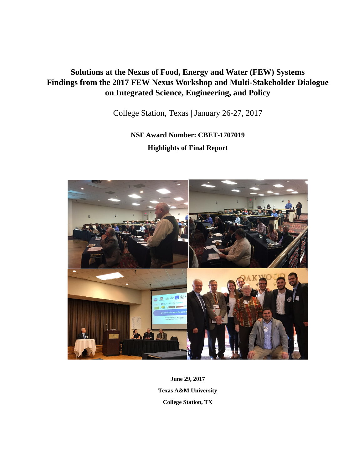# **Solutions at the Nexus of Food, Energy and Water (FEW) Systems Findings from the 2017 FEW Nexus Workshop and Multi-Stakeholder Dialogue on Integrated Science, Engineering, and Policy**

College Station, Texas | January 26-27, 2017

**NSF Award Number: CBET-1707019 Highlights of Final Report**



**June 29, 2017 Texas A&M University College Station, TX**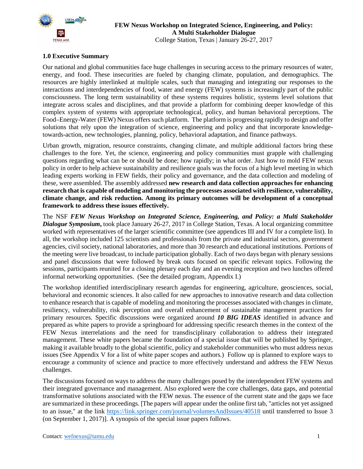

## **FEW Nexus Workshop on Integrated Science, Engineering, and Policy: A Multi Stakeholder Dialogue** College Station, Texas | January 26-27, 2017

# **1.0 Executive Summary**

Our national and global communities face huge challenges in securing access to the primary resources of water, energy, and food. These insecurities are fueled by changing climate, population, and demographics. The resources are highly interlinked at multiple scales, such that managing and integrating our responses to the interactions and interdependencies of food, water and energy (FEW) systems is increasingly part of the public consciousness. The long term sustainability of these systems requires holistic, systems level solutions that integrate across scales and disciplines, and that provide a platform for combining deeper knowledge of this complex system of systems with appropriate technological, policy, and human behavioral perceptions. The Food–Energy-Water (FEW) Nexus offers such platform. The platform is progressing rapidly to design and offer solutions that rely upon the integration of science, engineering and policy and that incorporate knowledgetowards-action, new technologies, planning, policy, behavioral adaptation, and finance pathways.

Urban growth, migration, resource constraints, changing climate, and multiple additional factors bring these challenges to the fore. Yet, the science, engineering and policy communities must grapple with challenging questions regarding what can be or should be done; how rapidly; in what order. Just how to mold FEW nexus policy in order to help achieve sustainability and resilience goals was the focus of a high level meeting in which leading experts working in FEW fields, their policy and governance, and the data collection and modeling of these, were assembled. The assembly addressed **new research and data collection approaches for enhancing research that is capable of modeling and monitoring the processes associated with resilience, vulnerability, climate change, and risk reduction. Among its primary outcomes will be development of a conceptual framework to address these issues effectively.**

The NSF *FEW Nexus Workshop on Integrated Science, Engineering, and Policy: a Multi Stakeholder Dialogue Symposium***,** took place January 26-27, 2017 in College Station, Texas. A local organizing committee worked with representatives of the larger scientific committee (see appendices III and IV for a complete list). In all, the workshop included 125 scientists and professionals from the private and industrial sectors, government agencies, civil society, national laboratories, and more than 30 research and educational institutions. Portions of the meeting were live broadcast, to include participation globally. Each of two days began with plenary sessions and panel discussions that were followed by break outs focused on specific relevant topics. Following the sessions, participants reunited for a closing plenary each day and an evening reception and two lunches offered informal networking opportunities. (See the detailed program, Appendix I.)

The workshop identified interdisciplinary research agendas for engineering, agriculture, geosciences, social, behavioral and economic sciences. It also called for new approaches to innovative research and data collection to enhance research that is capable of modeling and monitoring the processes associated with changes in climate, resiliency, vulnerability, risk perception and overall enhancement of sustainable management practices for primary resources. Specific discussions were organized around *10 BIG IDEAS* identified in advance and prepared as white papers to provide a springboard for addressing specific research themes in the context of the FEW Nexus interrelations and the need for transdisciplinary collaboration to address their integrated management. These white papers became the foundation of a special issue that will be published by Springer, making it available broadly to the global scientific, policy and stakeholder communities who must address nexus issues (See Appendix V for a list of white paper scopes and authors.) Follow up is planned to explore ways to encourage a community of science and practice to more effectively understand and address the FEW Nexus challenges.

The discussions focused on ways to address the many challenges posed by the interdependent FEW systems and their integrated governance and management. Also explored were the core challenges, data gaps, and potential transformative solutions associated with the FEW nexus. The essence of the current state and the gaps we face are summarized in these proceedings. [The papers will appear under the online first tab, "articles not yet assigned to an issue," at the link<https://link.springer.com/journal/volumesAndIssues/40518> until transferred to Issue 3 (on September 1, 2017)]. A synopsis of the special issue papers follows.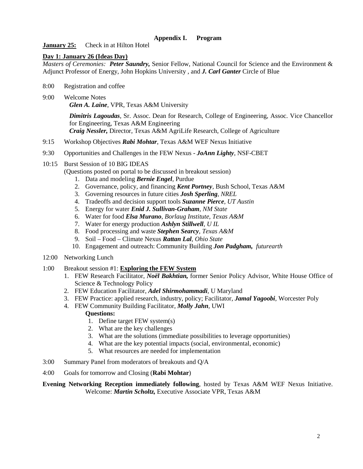# **Appendix I. Program**

**January 25:** Check in at Hilton Hotel

# **Day 1: January 26 (Ideas Day)**

*Masters of Ceremonies: Peter Saundry,* Senior Fellow, National Council for Science and the Environment & Adjunct Professor of Energy, John Hopkins University , and *J. Carl Ganter* Circle of Blue

- 8:00 Registration and coffee
- 9:00 Welcome Notes

*Glen A. Laine*, VPR, Texas A&M University

*Dimitris Lagoudas*, Sr. Assoc. Dean for Research, College of Engineering, Assoc. Vice Chancellor for Engineering, Texas A&M Engineering *Craig Nessler,* Director, Texas A&M AgriLife Research, College of Agriculture

- 9:15 Workshop Objectives *Rabi Mohtar*, Texas A&M WEF Nexus Initiative
- 9:30 Opportunities and Challenges in the FEW Nexus *JoAnn Lighty*, NSF-CBET
- 10:15 Burst Session of 10 BIG IDEAS

(Questions posted on portal to be discussed in breakout session)

- 1. Data and modeling *Bernie Engel,* Purdue
- 2. Governance, policy, and financing *Kent Portney,* Bush School, Texas A&M
- 3. Governing resources in future cities *Josh Sperling, NREL*
- 4. Tradeoffs and decision support tools *Suzanne Pierce, UT Austin*
- 5. Energy for water *Enid J. Sullivan-Graham, NM State*
- 6. Water for food *Elsa Murano*, *Borlaug Institute, Texas A&M*
- 7. Water for energy production *Ashlyn Stillwell, U IL*
- 8. Food processing and waste *Stephen Searcy, Texas A&M*
- 9. Soil Food Climate Nexus *Rattan Lal, Ohio State*
- 10. Engagement and outreach: Community Building *Jon Padgham, futurearth*
- 12:00 Networking Lunch
- 1:00 Breakout session #1: **Exploring the FEW System** 
	- 1. FEW Research Facilitator, *Noël Bakhtian,* former Senior Policy Advisor, White House Office of Science & Technology Policy
	- 2. FEW Education Facilitator, *Adel Shirmohammadi,* U Maryland
	- 3. FEW Practice: applied research, industry, policy; Facilitator, *Jamal Yagoobi*, Worcester Poly
	- 4. FEW Community Building Facilitator, *Molly Jahn*, UWI

# **Questions:**

- 1. Define target FEW system(s)
- 2. What are the key challenges
- 3. What are the solutions (immediate possibilities to leverage opportunities)
- 4. What are the key potential impacts (social, environmental, economic)
- 5. What resources are needed for implementation
- 3:00 Summary Panel from moderators of breakouts and Q/A
- 4:00 Goals for tomorrow and Closing (**Rabi Mohtar**)

# **Evening Networking Reception immediately following**, hosted by Texas A&M WEF Nexus Initiative. Welcome: *Martin Scholtz,* Executive Associate VPR, Texas A&M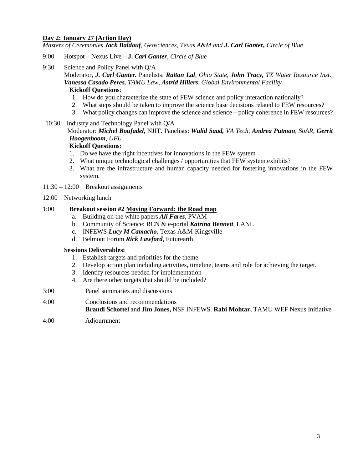# **Day 2: January 27 (Action Day)**

*Masters of Ceremonies Jack Baldauf, Geosciences, Texas A&M and J. Carl Ganter, Circle of Blue*

- 9:00 Hotspot Nexus Live **J.** *Carl Ganter, Circle of Blue*
- 9:30 Science and Policy Panel with Q/A

Moderator, *J. Carl Ganter.* Panelists: *Rattan Lal, Ohio State, John Tracy, TX Water Resource Inst., Vanessa Casado Peres, TAMU Law, Astrid Hillers, Global Environmental Facility*

## **Kickoff Questions**:

- 1. How do you characterize the state of FEW science and policy interaction nationally?
- 2. What steps should be taken to improve the science base decisions related to FEW resources?
- 3. What policy changes can improve the science and science policy coherence in FEW resources?
- 10:30 Industry and Technology Panel with Q/A

# Moderator: *Michel Boufadel,* NJIT. Panelists: *Walid Saad, VA Tech, Andrea Putman, SoAR, Gerrit Hoogenboom, UFL*

# **Kickoff Questions:**

- 1. Do we have the right incentives for innovations in the FEW system
- 2. What unique technological challenges / opportunities that FEW system exhibits?
- 3. What are the infrastructure and human capacity needed for fostering innovations in the FEW system.
- 11:30 12:00 Breakout assignments
- 12:00 Networking lunch

# 1:00 **Breakout session #2 Moving Forward: the Road map**

- a. Building on the white papers *Ali Fares*, PVAM
- b. Community of Science: RCN & e-portal *Katrina Bennett*, LANL
- c. INFEWS *Lucy M Camacho*, Texas A&M-Kingsville
- d. Belmont Forum *Rick Lawford*, Futurearth

#### **Sessions Deliverables:**

- 1. Establish targets and priorities for the theme
- 2. Develop action plan including activities, timeline, teams and role for achieving the target.
- 3. Identify resources needed for implementation
- 4. Are there other targets that should be included?
- 3:00 Panel summaries and discussions
- 4:00 Conclusions and recommendations **Brandi Schottel** and **Jim Jones,** NSF INFEWS. **Rabi Mohtar,** TAMU WEF Nexus Initiative
- 4:00 Adjournment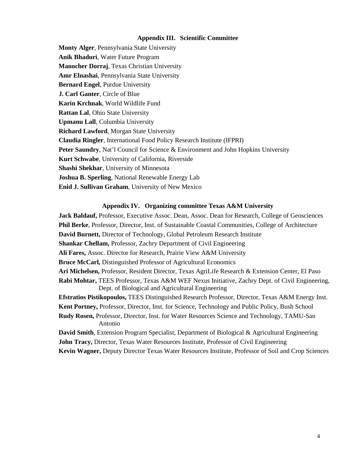#### **Appendix III. Scientific Committee**

**Monty Alger**, Pennsylvania State University **Anik Bhaduri**, Water Future Program **Manocher Dorraj**, Texas Christian University **Amr Elnashai**, Pennsylvania State University **Bernard Engel**, Purdue University **J. Carl Ganter**, Circle of Blue **Karin Krchnak**, World Wildlife Fund **Rattan Lal**, Ohio State University **Upmanu Lall**, Columbia University **Richard Lawford**, Morgan State University **Claudia Ringler**, International Food Policy Research Institute (IFPRI) Peter Saundry, Nat'l Council for Science & Environment and John Hopkins University **Kurt Schwabe**, University of California, Riverside **Shashi Shekhar**, University of Minnesota **Joshua B. Sperling**, National Renewable Energy Lab **Enid J. Sullivan Graham**, University of New Mexico

#### **Appendix IV. Organizing committee Texas A&M University**

**Jack Baldauf,** Professor, Executive Assoc. Dean, Assoc. Dean for Research, College of Geosciences **Phil Berke**, Professor, Director, Inst. of Sustainable Coastal Communities, College of Architecture **David Burnett,** Director of Technology, Global Petroleum Research Institute **Shankar Chellam,** Professor, Zachry Department of Civil Engineering **Ali Fares,** Assoc. Director for Research, Prairie View A&M University **Bruce McCarl,** Distinguished Professor of Agricultural Economics **Ari Michelsen,** Professor, Resident Director, Texas AgriLife Research & Extension Center, El Paso **Rabi Mohtar,** TEES Professor, Texas A&M WEF Nexus Initiative, Zachry Dept. of Civil Engineering, Dept. of Biological and Agricultural Engineering **Efstratios Pistikopoulos,** TEES Distinguished Research Professor, Director, Texas A&M Energy Inst. **Kent Portney,** Professor, Director, Inst. for Science, Technology and Public Policy, Bush School **Rudy Rosen,** Professor, Director, Inst. for Water Resources Science and Technology, TAMU-San Antonio **David Smith**, Extension Program Specialist, Department of Biological & Agricultural Engineering **John Tracy,** Director, Texas Water Resources Institute, Professor of Civil Engineering

**Kevin Wagner,** Deputy Director Texas Water Resources Institute, Professor of Soil and Crop Sciences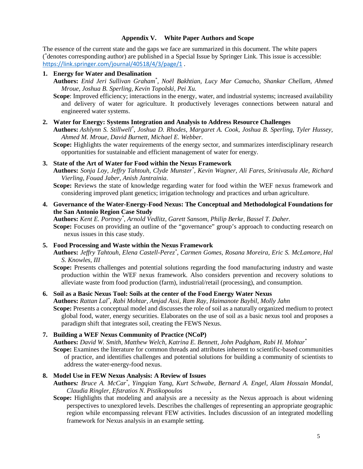## **Appendix V. White Paper Authors and Scope**

The essence of the current state and the gaps we face are summarized in this document. The white papers ( \* denotes corresponding author) are published in a Special Issue by Springer Link. This issue is accessible: <https://link.springer.com/journal/40518/4/3/page/1> .

## **1. Energy for Water and Desalination**

**Authors:** *Enid Jeri Sullivan Graham\* , Noël Bakhtian, Lucy Mar Camacho, Shankar Chellam, Ahmed Mroue, Joshua B. Sperling, Kevin Topolski, Pei Xu.* 

**Scope**: Improved efficiency; interactions in the energy, water, and industrial systems; increased availability and delivery of water for agriculture. It productively leverages connections between natural and engineered water systems.

**2. Water for Energy: Systems Integration and Analysis to Address Resource Challenges**

**Authors:** *Ashlynn S. Stillwell\* , Joshua D. Rhodes, Margaret A. Cook, Joshua B. Sperling, Tyler Hussey, Ahmed M. Mroue, David Burnett, Michael E. Webber.* 

**Scope:** Highlights the water requirements of the energy sector, and summarizes interdisciplinary research opportunities for sustainable and efficient management of water for energy.

# **3. State of the Art of Water for Food within the Nexus Framework**

**Authors:** *Sonja Loy, Jeffry Tahtouh, Clyde Munster\* , Kevin Wagner, Ali Fares, Srinivasulu Ale, Richard Vierling, Fouad Jaber, Anish Jantrainia*.

**Scope:** Reviews the state of knowledge regarding water for food within the WEF nexus framework and considering improved plant genetics; irrigation technology and practices and urban agriculture.

# **4. Governance of the Water-Energy-Food Nexus: The Conceptual and Methodological Foundations for the San Antonio Region Case Study**

**Authors:** *Kent E. Portney\* , Arnold Vedlitz, Garett Sansom, Philip Berke, Bassel T. Daher.* 

**Scope:** Focuses on providing an outline of the "governance" group's approach to conducting research on nexus issues in this case study.

# **5. Food Processing and Waste within the Nexus Framework**

**Authors:** *Jeffry Tahtouh, Elena Castell-Perez\* , Carmen Gomes, Rosana Moreira, Eric S. McLamore, Hal S. Knowles, III*

**Scope:** Presents challenges and potential solutions regarding the food manufacturing industry and waste production within the WEF nexus framework. Also considers prevention and recovery solutions to alleviate waste from food production (farm), industrial/retail (processing), and consumption.

# **6. Soil as a Basic Nexus Tool: Soils at the center of the Food Energy Water Nexus**

**Authors:** *Rattan Lal\* , Rabi Mohtar, Amjad Assi, Ram Ray, Haimanote Baybil, Molly Jahn*

**Scope:** Presents a conceptual model and discusses the role of soil as a naturally organized medium to protect global food, water, energy securities. Elaborates on the use of soil as a basic nexus tool and proposes a paradigm shift that integrates soil, creating the FEWS Nexus.

#### **7. Building a WEF Nexus Community of Practice (NCoP)**

**Authors:** *David W. Smith, Matthew Welch, Katrina E. Bennett, John Padgham, Rabi H. Mohtar\**

**Scope:** Examines the literature for common threads and attributes inherent to scientific-based communities of practice, and identifies challenges and potential solutions for building a community of scientists to address the water-energy-food nexus.

#### **8. Model Use in FEW Nexus Analysis: A Review of Issues**

**Authors***: Bruce A. McCar\* , Yingqian Yang, Kurt Schwabe, Bernard A. Engel, Alam Hossain Mondal, Claudia Ringler, Efstratios N. Pistikopoulos* **.**

**Scope:** Highlights that modeling and analysis are a necessity as the Nexus approach is about widening perspectives to unexplored levels. Describes the challenges of representing an appropriate geographic region while encompassing relevant FEW activities. Includes discussion of an integrated modelling framework for Nexus analysis in an example setting.